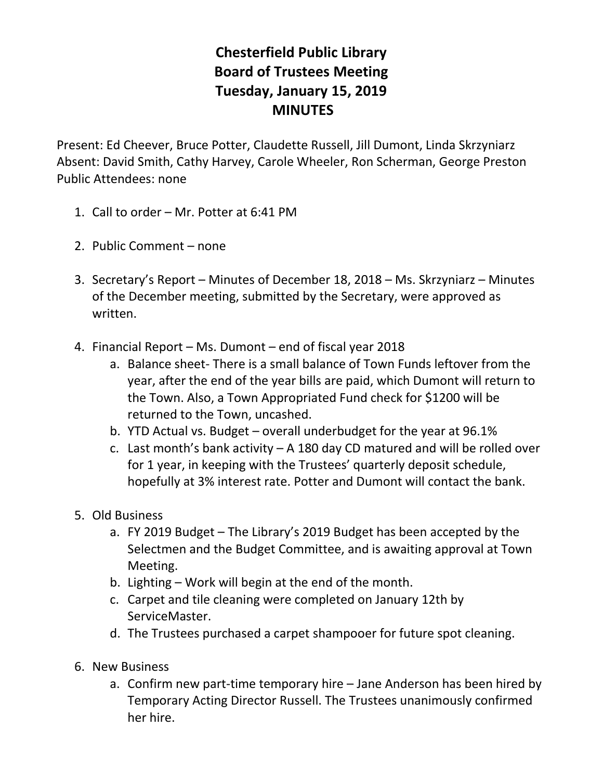## **Chesterfield Public Library Board of Trustees Meeting Tuesday, January 15, 2019 MINUTES**

Present: Ed Cheever, Bruce Potter, Claudette Russell, Jill Dumont, Linda Skrzyniarz Absent: David Smith, Cathy Harvey, Carole Wheeler, Ron Scherman, George Preston Public Attendees: none

- 1. Call to order Mr. Potter at 6:41 PM
- 2. Public Comment none
- 3. Secretary's Report Minutes of December 18, 2018 Ms. Skrzyniarz Minutes of the December meeting, submitted by the Secretary, were approved as written.
- 4. Financial Report Ms. Dumont end of fiscal year 2018
	- a. Balance sheet- There is a small balance of Town Funds leftover from the year, after the end of the year bills are paid, which Dumont will return to the Town. Also, a Town Appropriated Fund check for \$1200 will be returned to the Town, uncashed.
	- b. YTD Actual vs. Budget overall underbudget for the year at 96.1%
	- c. Last month's bank activity A 180 day CD matured and will be rolled over for 1 year, in keeping with the Trustees' quarterly deposit schedule, hopefully at 3% interest rate. Potter and Dumont will contact the bank.
- 5. Old Business
	- a. FY 2019 Budget The Library's 2019 Budget has been accepted by the Selectmen and the Budget Committee, and is awaiting approval at Town Meeting.
	- b. Lighting Work will begin at the end of the month.
	- c. Carpet and tile cleaning were completed on January 12th by ServiceMaster.
	- d. The Trustees purchased a carpet shampooer for future spot cleaning.
- 6. New Business
	- a. Confirm new part-time temporary hire Jane Anderson has been hired by Temporary Acting Director Russell. The Trustees unanimously confirmed her hire.